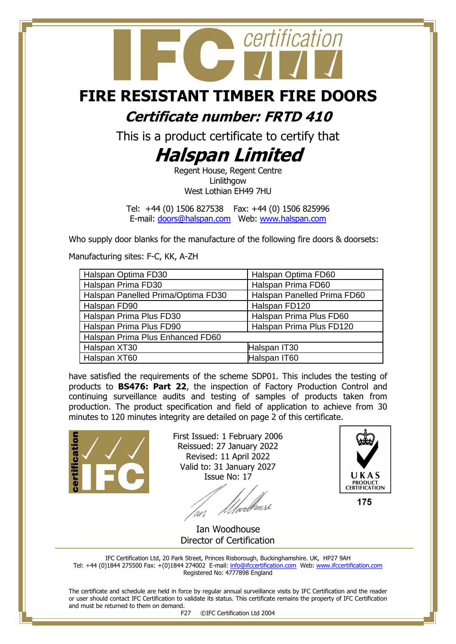## certification

## **FIRE RESISTANT TIMBER FIRE DOORS**

**Certificate number: FRTD 410**

This is a product certificate to certify that

## **Halspan Limited**

Regent House, Regent Centre Linlithgow West Lothian EH49 7HU

Tel: +44 (0) 1506 827538 Fax: +44 (0) 1506 825996 E-mail: [doors@halspan.com](mailto:doors@halspan.com) Web: [www.halspan.com](http://www.halspan.com/)

Who supply door blanks for the manufacture of the following fire doors & doorsets:

Manufacturing sites: F-C, KK, A-ZH

| Halspan Optima FD30                | Halspan Optima FD60         |  |
|------------------------------------|-----------------------------|--|
| Halspan Prima FD30                 | Halspan Prima FD60          |  |
| Halspan Panelled Prima/Optima FD30 | Halspan Panelled Prima FD60 |  |
| Halspan FD90                       | Halspan FD120               |  |
| Halspan Prima Plus FD30            | Halspan Prima Plus FD60     |  |
| Halspan Prima Plus FD90            | Halspan Prima Plus FD120    |  |
| Halspan Prima Plus Enhanced FD60   |                             |  |
| Halspan XT30                       | Halspan IT30                |  |
| Halspan XT60                       | Halspan IT60                |  |

have satisfied the requirements of the scheme SDP01. This includes the testing of products to **BS476: Part 22**, the inspection of Factory Production Control and continuing surveillance audits and testing of samples of products taken from production. The product specification and field of application to achieve from 30 minutes to 120 minutes integrity are detailed on page 2 of this certificate.



First Issued: 1 February 2006 Reissued: 27 January 2022 Revised: 11 April 2022 Valid to: 31 January 2027 Issue No: 17

'wi



 Ian Woodhouse Director of Certification

IFC Certification Ltd, 20 Park Street, Princes Risborough, Buckinghamshire. UK, HP27 9AH Tel: +44 (0)1844 275500 Fax: +(0)1844 274002 E-mail[: info@ifccertification.com](mailto:info@ifccertification.com) Web: [www.ifccertification.com](http://www.ifccertification.com/) Registered No: 4777898 England

The certificate and schedule are held in force by regular annual surveillance visits by IFC Certification and the reader or user should contact IFC Certification to validate its status. This certificate remains the property of IFC Certification and must be returned to them on demand.